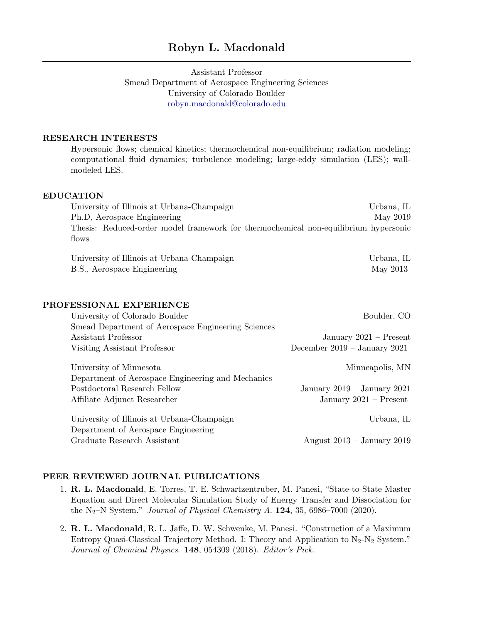# Robyn L. Macdonald

Assistant Professor Smead Department of Aerospace Engineering Sciences University of Colorado Boulder [robyn.macdonald@colorado.edu](mailto:robyn.macdonald@colorado.edu)

# RESEARCH INTERESTS

Hypersonic flows; chemical kinetics; thermochemical non-equilibrium; radiation modeling; computational fluid dynamics; turbulence modeling; large-eddy simulation (LES); wallmodeled LES.

## EDUCATION

University of Illinois at Urbana-Champaign Urbana, IL Ph.D, Aerospace Engineering May 2019 Thesis: Reduced-order model framework for thermochemical non-equilibrium hypersonic flows

| University of Illinois at Urbana-Champaign | Urbana. IL |
|--------------------------------------------|------------|
| B.S., Aerospace Engineering                | May 2013   |

#### PROFESSIONAL EXPERIENCE

| Boulder, CO                    |
|--------------------------------|
|                                |
| January $2021 -$ Present       |
| December $2019 - January 2021$ |
| Minneapolis, MN                |
|                                |
| January 2019 – January 2021    |
| January 2021 – Present         |
| Urbana, IL                     |
|                                |
| August $2013 - January 2019$   |
|                                |

## PEER REVIEWED JOURNAL PUBLICATIONS

- 1. R. L. Macdonald, E. Torres, T. E. Schwartzentruber, M. Panesi, "State-to-State Master Equation and Direct Molecular Simulation Study of Energy Transfer and Dissociation for the N<sub>2</sub>–N System." *Journal of Physical Chemistry A.* **124**, 35, 6986–7000 (2020).
- 2. R. L. Macdonald, R. L. Jaffe, D. W. Schwenke, M. Panesi. "Construction of a Maximum Entropy Quasi-Classical Trajectory Method. I: Theory and Application to  $N_2-N_2$  System." Journal of Chemical Physics. 148, 054309 (2018). Editor's Pick.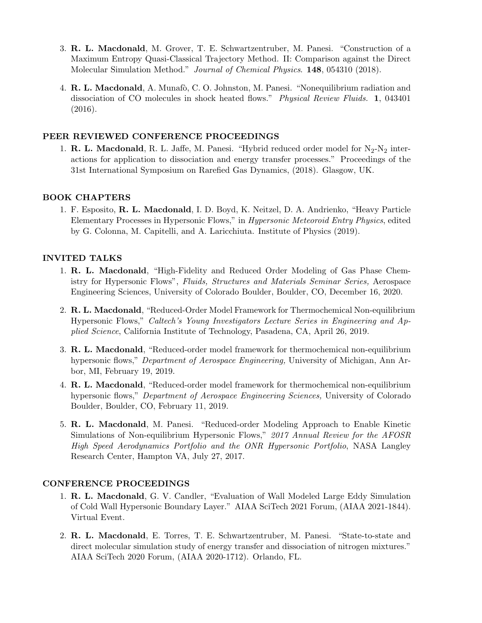- 3. R. L. Macdonald, M. Grover, T. E. Schwartzentruber, M. Panesi. "Construction of a Maximum Entropy Quasi-Classical Trajectory Method. II: Comparison against the Direct Molecular Simulation Method." *Journal of Chemical Physics.* **148**, 054310 (2018).
- 4. R. L. Macdonald, A. Munafò, C. O. Johnston, M. Panesi. "Nonequilibrium radiation and dissociation of CO molecules in shock heated flows." *Physical Review Fluids.* 1, 043401 (2016).

# PEER REVIEWED CONFERENCE PROCEEDINGS

1. **R. L. Macdonald**, R. L. Jaffe, M. Panesi. "Hybrid reduced order model for  $N_2-N_2$  interactions for application to dissociation and energy transfer processes." Proceedings of the 31st International Symposium on Rarefied Gas Dynamics, (2018). Glasgow, UK.

# BOOK CHAPTERS

1. F. Esposito, R. L. Macdonald, I. D. Boyd, K. Neitzel, D. A. Andrienko, "Heavy Particle Elementary Processes in Hypersonic Flows," in Hypersonic Meteoroid Entry Physics, edited by G. Colonna, M. Capitelli, and A. Laricchiuta. Institute of Physics (2019).

# INVITED TALKS

- 1. R. L. Macdonald, "High-Fidelity and Reduced Order Modeling of Gas Phase Chemistry for Hypersonic Flows", Fluids, Structures and Materials Seminar Series, Aerospace Engineering Sciences, University of Colorado Boulder, Boulder, CO, December 16, 2020.
- 2. R. L. Macdonald, "Reduced-Order Model Framework for Thermochemical Non-equilibrium Hypersonic Flows," Caltech's Young Investigators Lecture Series in Engineering and Applied Science, California Institute of Technology, Pasadena, CA, April 26, 2019.
- 3. R. L. Macdonald, "Reduced-order model framework for thermochemical non-equilibrium hypersonic flows," *Department of Aerospace Engineering*, University of Michigan, Ann Arbor, MI, February 19, 2019.
- 4. R. L. Macdonald, "Reduced-order model framework for thermochemical non-equilibrium hypersonic flows," Department of Aerospace Engineering Sciences, University of Colorado Boulder, Boulder, CO, February 11, 2019.
- 5. R. L. Macdonald, M. Panesi. "Reduced-order Modeling Approach to Enable Kinetic Simulations of Non-equilibrium Hypersonic Flows," 2017 Annual Review for the AFOSR High Speed Aerodynamics Portfolio and the ONR Hypersonic Portfolio, NASA Langley Research Center, Hampton VA, July 27, 2017.

### CONFERENCE PROCEEDINGS

- 1. R. L. Macdonald, G. V. Candler, "Evaluation of Wall Modeled Large Eddy Simulation of Cold Wall Hypersonic Boundary Layer." AIAA SciTech 2021 Forum, (AIAA 2021-1844). Virtual Event.
- 2. R. L. Macdonald, E. Torres, T. E. Schwartzentruber, M. Panesi. "State-to-state and direct molecular simulation study of energy transfer and dissociation of nitrogen mixtures." AIAA SciTech 2020 Forum, (AIAA 2020-1712). Orlando, FL.